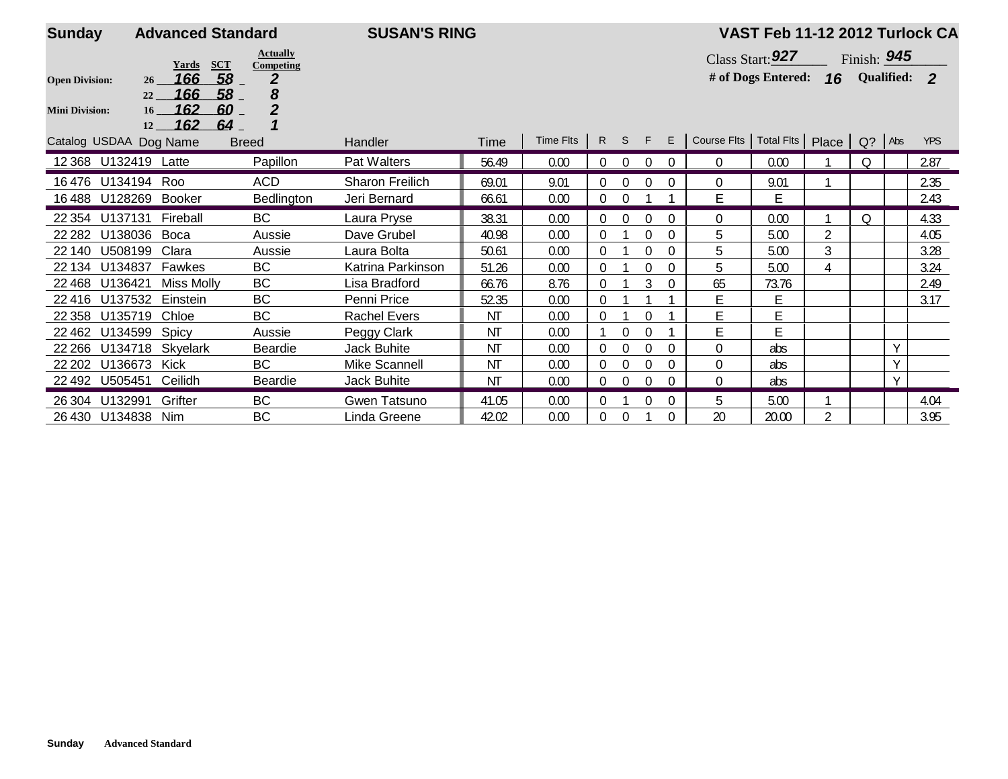| <b>Sunday</b>          | <b>Advanced Standard</b>           |                              | <b>SUSAN'S RING</b> |           |           |                |                    |                |               |                                             | VAST Feb 11-12 2012 Turlock CA     |                |   |        |            |
|------------------------|------------------------------------|------------------------------|---------------------|-----------|-----------|----------------|--------------------|----------------|---------------|---------------------------------------------|------------------------------------|----------------|---|--------|------------|
|                        | <b>SCT</b><br>Yards                | <b>Actually</b><br>Competing |                     |           |           |                | Class Start: $927$ |                | Finish: $945$ |                                             |                                    |                |   |        |            |
| <b>Open Division:</b>  | 58<br>166<br>26<br>166<br>58       | $\overline{2}$<br>8          |                     |           |           |                |                    |                |               |                                             | # of Dogs Entered: 16 Qualified: 2 |                |   |        |            |
| <b>Mini Division:</b>  | 22<br>162<br>60<br>16 <sup>1</sup> | $\overline{2}$               |                     |           |           |                |                    |                |               |                                             |                                    |                |   |        |            |
|                        | 162<br>64<br>12                    |                              |                     |           |           |                |                    |                |               |                                             |                                    |                |   |        |            |
| Catalog USDAA Dog Name |                                    | <b>Breed</b>                 | Handler             | Time      | Time Fits |                |                    | R S F E        |               | Course Flts   Total Flts   Place   Q?   Abs |                                    |                |   |        | <b>YPS</b> |
| 12 368 U132419 Latte   |                                    | Papillon                     | Pat Walters         | 56.49     | 0.00      | $\overline{0}$ | $\overline{0}$     | $\overline{0}$ | $\Omega$      | $\overline{0}$                              | 0.00                               |                | Q |        | 2.87       |
| 16476                  | U134194 Roo                        | <b>ACD</b>                   | Sharon Freilich     | 69.01     | 9.01      | $\Omega$       | $\Omega$           | 0              | $\Omega$      | $\Omega$                                    | 9.01                               |                |   |        | 2.35       |
| 16488 U128269          | Booker                             | Bedlington                   | Jeri Bernard        | 66.61     | 0.00      | $\overline{0}$ | $\Omega$           |                |               | E                                           | Ē                                  |                |   |        | 2.43       |
| U137131<br>22 3 54     | Fireball                           | <b>BC</b>                    | Laura Pryse         | 38.31     | 0.00      | $\Omega$       | $\Omega$           | $\Omega$       | $\Omega$      | $\Omega$                                    | 0.00                               |                | 0 |        | 4.33       |
| U138036<br>22 282      | Boca                               | Aussie                       | Dave Grubel         | 40.98     | 0.00      | 0              |                    |                | $\theta$      | 5                                           | 5.00                               | 2              |   |        | 4.05       |
| U508199<br>22 140      | Clara                              | Aussie                       | Laura Bolta         | 50.61     | 0.00      | $\theta$       |                    | $\Omega$       | $\Omega$      | 5                                           | 5.00                               | 3              |   |        | 3.28       |
| 22 134 U134837         | Fawkes                             | BC                           | Katrina Parkinson   | 51.26     | 0.00      | $\Omega$       |                    | $\Omega$       | $\theta$      | 5                                           | 5.00                               | 4              |   |        | 3.24       |
| U136421<br>22 4 68     | <b>Miss Molly</b>                  | <b>BC</b>                    | Lisa Bradford       | 66.76     | 8.76      | $\Omega$       |                    | 3              | $\Omega$      | 65                                          | 73.76                              |                |   |        | 2.49       |
| 22416<br>U137532       | Einstein                           | <b>BC</b>                    | Penni Price         | 52.35     | 0.00      | 0              |                    |                |               | E                                           | E                                  |                |   |        | 3.17       |
| U135719<br>22 3 58     | Chloe                              | <b>BC</b>                    | <b>Rachel Evers</b> | ΝT        | 0.00      | $\Omega$       |                    | 0              |               | E                                           | Ë                                  |                |   |        |            |
| 22 4 62<br>U134599     | Spicy                              | Aussie                       | Peggy Clark         | NT        | 0.00      |                | $\theta$           |                |               | E                                           | Ē                                  |                |   |        |            |
| U134718<br>22 2 66     | Skyelark                           | Beardie                      | <b>Jack Buhite</b>  | ΝT        | 0.00      | $\Omega$       | $\theta$           | $\theta$       | $\theta$      | $\Omega$                                    | abs                                |                |   | $\vee$ |            |
| U136673<br>22 20 2     | Kick                               | BC                           | Mike Scannell       | ΝT        | 0.00      | $\Omega$       | $\Omega$           | $\theta$       | $\Omega$      | $\overline{0}$                              | abs                                |                |   | $\vee$ |            |
| 22 492 U505451         | Ceilidh                            | Beardie                      | <b>Jack Buhite</b>  | <b>NT</b> | 0.00      | $\overline{0}$ | $\mathbf 0$        | $\theta$       | $\Omega$      | $\Omega$                                    | abs                                |                |   | Υ      |            |
| U132991<br>26 304      | Grifter                            | BC                           | Gwen Tatsuno        | 41.05     | 0.00      | 0              |                    |                | $\Omega$      | 5                                           | 5.00                               |                |   |        | 4.04       |
| 26 430 U134838 Nim     |                                    | BC                           | Linda Greene        | 42.02     | 0.00      | 0              | $\Omega$           |                | 0             | 20                                          | 20.00                              | $\overline{2}$ |   |        | 3.95       |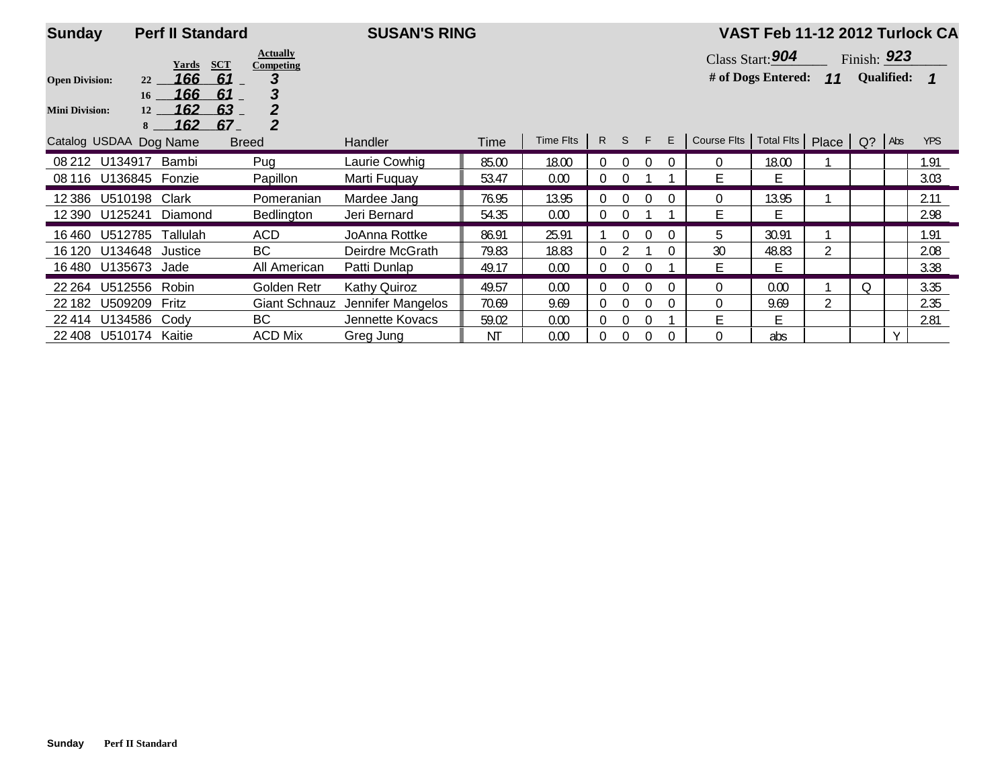| <b>Sunday</b>          |                | <b>Perf II Standard</b>             |                              | <b>SUSAN'S RING</b> |       |           |                |          |    |          |                | VAST Feb 11-12 2012 Turlock CA |       |               |                   |            |
|------------------------|----------------|-------------------------------------|------------------------------|---------------------|-------|-----------|----------------|----------|----|----------|----------------|--------------------------------|-------|---------------|-------------------|------------|
|                        |                | <b>SCT</b><br>Yards                 | <b>Actually</b><br>Competing |                     |       |           |                |          |    |          |                | Class Start: 904               |       | Finish: $923$ |                   |            |
| <b>Open Division:</b>  | 22             | 166<br>61                           | 3                            |                     |       |           |                |          |    |          |                | # of Dogs Entered:             | 11    |               | <b>Qualified:</b> |            |
| <b>Mini Division:</b>  | 16<br>12<br>8  | 166<br>61<br>162<br>63<br>162<br>67 | 3<br>2<br>$\overline{2}$     |                     |       |           |                |          |    |          |                |                                |       |               |                   |            |
| Catalog USDAA Dog Name |                |                                     | <b>Breed</b>                 | Handler             | Time  | Time Flts | R              | S.       | F. | E        | Course Flts    | Total Fits                     | Place | $Q$ ?         | Abs               | <b>YPS</b> |
| 08 212 U134917         |                | Bambi                               | Pug                          | Laurie Cowhig       | 85.00 | 18.00     | 0              | $\Omega$ |    | $\Omega$ | $\Omega$       | 18.00                          |       |               |                   | 1.91       |
| 08 116 U136845         |                | Fonzie                              | Papillon                     | Marti Fuquay        | 53.47 | 0.00      | $\overline{0}$ | $\Omega$ |    |          | F              | F                              |       |               |                   | 3.03       |
| 12 386                 | U510198        | Clark                               | Pomeranian                   | Mardee Jang         | 76.95 | 13.95     | 0              | $\Omega$ |    | $\Omega$ | $\Omega$       | 13.95                          |       |               |                   | 2.11       |
| 12 390                 | U125241        | Diamond                             | Bedlington                   | Jeri Bernard        | 54.35 | 0.00      | 0              | $\Omega$ |    |          | E              | Е                              |       |               |                   | 2.98       |
| 16 460                 | U512785        | Tallulah                            | ACD                          | JoAnna Rottke       | 86.91 | 25.91     |                |          |    | $\Omega$ | 5              | 30.91                          |       |               |                   | 1.91       |
| 16 120                 | U134648        | Justice                             | <b>BC</b>                    | Deirdre McGrath     | 79.83 | 18.83     | $\Omega$       |          |    |          | 30             | 48.83                          | 2     |               |                   | 2.08       |
| 16 480                 | U135673 Jade   |                                     | All American                 | Patti Dunlap        | 49.17 | 0.00      | 0              | $\Omega$ | O  |          | E              | E                              |       |               |                   | 3.38       |
| 22 2 64                | U512556        | Robin                               | Golden Retr                  | <b>Kathy Quiroz</b> | 49.57 | 0.00      | $\Omega$       | $\Omega$ |    |          | $\Omega$       | 0.00                           |       | Q             |                   | 3.35       |
| 22 182                 | U509209        | Fritz                               | <b>Giant Schnauz</b>         | Jennifer Mangelos   | 70.69 | 9.69      | 0              | $\Omega$ |    | $\Omega$ | $\overline{0}$ | 9.69                           | 2     |               |                   | 2.35       |
| 22 414                 | U134586        | Cody                                | BC                           | Jennette Kovacs     | 59.02 | 0.00      | 0              | $\Omega$ |    |          | Е              | Е                              |       |               |                   | 2.81       |
| 22 408                 | U510174 Kaitie |                                     | <b>ACD Mix</b>               | Greg Jung           | ΝT    | 0.00      | 0              | $\theta$ | 0  |          | $\mathbf{0}$   | abs                            |       |               | $\vee$            |            |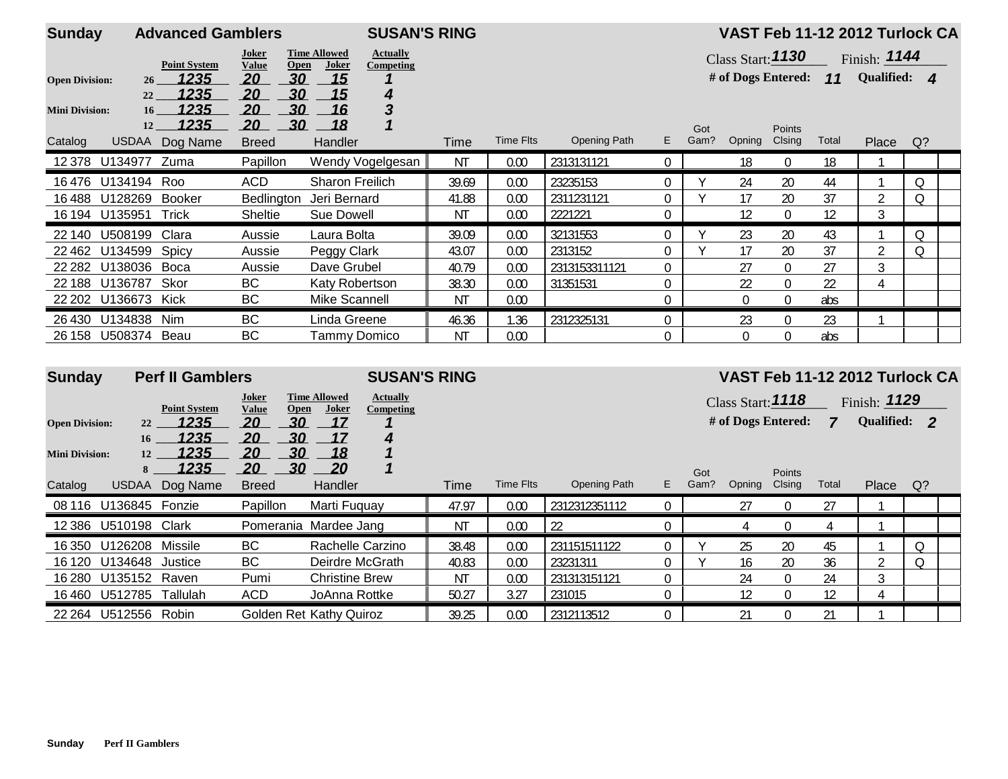| <b>Sunday</b>         |                       | <b>Advanced Gamblers</b> |                               |                                                              | <b>SUSAN'S RING</b> |           |                     |                |             |                         |                         |       |                | VAST Feb 11-12 2012 Turlock CA |
|-----------------------|-----------------------|--------------------------|-------------------------------|--------------------------------------------------------------|---------------------|-----------|---------------------|----------------|-------------|-------------------------|-------------------------|-------|----------------|--------------------------------|
|                       |                       | <b>Point System</b>      | Joker<br><b>Value</b><br>Open | <b>Actually</b><br><b>Time Allowed</b><br>Joker<br>Competing |                     |           |                     |                |             | Class Start: 1130       |                         |       | Finish: $1144$ |                                |
| <b>Open Division:</b> | 26 <sup>2</sup>       | 1235                     | 20<br>30                      | 15                                                           |                     |           |                     |                |             | # of Dogs Entered: $11$ |                         |       | Qualified: 4   |                                |
| <b>Mini Division:</b> | 22<br>16 <sup>1</sup> | 1235<br>1235             | 30<br>20<br>30<br>20          | 15<br>4<br>3<br>16                                           |                     |           |                     |                |             |                         |                         |       |                |                                |
| Catalog               | 12                    | 1235<br>USDAA Dog Name   | 30<br>20<br><b>Breed</b>      | 18<br>Handler                                                | Time                | Time Flts | <b>Opening Path</b> | E.             | Got<br>Gam? | Opning                  | <b>Points</b><br>Clsing | Total | Place          | $Q$ ?                          |
|                       | 12 378 U134977 Zuma   |                          | Papillon                      | Wendy Vogelgesan                                             | <b>NT</b>           | 0.00      | 2313131121          | $\overline{0}$ |             | 18                      | $\overline{0}$          | 18    |                |                                |
|                       | 16476 U134194 Roo     |                          | ACD                           | <b>Sharon Freilich</b>                                       | 39.69               | 0.00      | 23235153            |                |             | 24                      | 20                      | 44    |                | Q                              |
| 16 488                | U128269               | Booker                   | Bedlington                    | Jeri Bernard                                                 | 41.88               | 0.00      | 2311231121          | $\Omega$       |             | 17                      | 20                      | 37    | 2              | Q                              |
|                       | 16 194 U135951        | Trick                    | Sheltie                       | Sue Dowell                                                   | <b>NT</b>           | 0.00      | 2221221             |                |             | 12                      | $\Omega$                | 12    | 3              |                                |
|                       | 22 140 U508199 Clara  |                          | Aussie                        | Laura Bolta                                                  | 39.09               | 0.00      | 32131553            | 0              |             | 23                      | 20                      | 43    |                | Q                              |
|                       | 22 462 U134599 Spicy  |                          | Aussie                        | Peggy Clark                                                  | 43.07               | 0.00      | 2313152             | $\Omega$       |             | 17                      | 20                      | 37    | $\overline{2}$ | Q                              |
| 22 2 82               | U138036               | Boca                     | Aussie                        | Dave Grubel                                                  | 40.79               | 0.00      | 2313153311121       | $\Omega$       |             | 27                      | $\theta$                | 27    | 3              |                                |
| 22 188                | U136787               | Skor                     | <b>BC</b>                     | Katy Robertson                                               | 38.30               | 0.00      | 31351531            | $\Omega$       |             | 22                      | $\theta$                | 22    | 4              |                                |
|                       | 22 202 U136673 Kick   |                          | BC                            | Mike Scannell                                                | ΝT                  | 0.00      |                     | $\Omega$       |             | 0                       | $\boldsymbol{0}$        | abs   |                |                                |
|                       | 26 430 U134838        | Nim                      | <b>BC</b>                     | Linda Greene                                                 | 46.36               | 1.36      | 2312325131          | $\Omega$       |             | 23                      | $\Omega$                | 23    |                |                                |
|                       | 26 158 U508374 Beau   |                          | BС                            | Tammv Domico                                                 | ΝT                  | 0.00      |                     | 0              |             | $\Omega$                | $\theta$                | abs   |                |                                |

| <b>Sunday</b>         |                 | <b>Perf II Gamblers</b>                                                                                       |              |                                          | <b>SUSAN'S RING</b> |       |                  |                     |    |                   |                    |          |       | VAST Feb 11-12 2012 Turlock CA |    |  |
|-----------------------|-----------------|---------------------------------------------------------------------------------------------------------------|--------------|------------------------------------------|---------------------|-------|------------------|---------------------|----|-------------------|--------------------|----------|-------|--------------------------------|----|--|
|                       |                 | <b>Time Allowed</b><br>Joker<br><b>Actually</b><br><b>Point System</b><br>Joker<br>Value<br>Open<br>Competing |              |                                          |                     |       |                  |                     |    | Class Start: 1118 |                    |          |       | Finish: $1129$                 |    |  |
| <b>Open Division:</b> | 22              | 1235                                                                                                          | 20           | <u>17</u><br>30                          |                     |       |                  |                     |    |                   | # of Dogs Entered: |          | 7     | Qualified: 2                   |    |  |
| <b>Mini Division:</b> | 16<br>12        | 1235<br>1235                                                                                                  | 20<br>20     | 30<br>17<br>30<br>18                     | 4                   |       |                  |                     |    |                   |                    |          |       |                                |    |  |
|                       | 8               | 1235                                                                                                          | 20           | <u>30</u><br>$\overline{\phantom{0}}$ 20 |                     |       |                  |                     |    | Got               |                    | Points   |       |                                |    |  |
| Catalog               | <b>USDAA</b>    | Dog Name                                                                                                      | <b>Breed</b> | Handler                                  |                     | Time  | <b>Time Flts</b> | <b>Opening Path</b> | E. | Gam?              | Opning             | Clsing   | Total | Place                          | Q? |  |
| 08 116                | U136845         | Fonzie                                                                                                        | Papillon     | Marti Fuguay                             |                     | 47.97 | 0.00             | 2312312351112       | 0  |                   | 27                 | $\Omega$ | 27    |                                |    |  |
| 12 3 8 6              | U510198         | Clark                                                                                                         |              | Pomerania Mardee Jang                    |                     | ΝT    | 0.00             | 22                  |    |                   |                    | $\Omega$ | 4     |                                |    |  |
| 16 350                | U126208         | Missile                                                                                                       | BC           | Rachelle Carzino                         |                     | 38.48 | 0.00             | 231151511122        |    |                   | 25                 | 20       | 45    |                                | Q  |  |
| 16 120                | U134648 Justice |                                                                                                               | BС           | Deirdre McGrath                          |                     | 40.83 | 0.00             | 23231311            |    |                   | 16                 | 20       | 36    | $\overline{2}$                 | Q  |  |
| 16 280                | U135152 Raven   |                                                                                                               | Pumi         | <b>Christine Brew</b>                    |                     | ΝT    | 0.00             | 231313151121        | 0  |                   | 24                 | $\Omega$ | 24    | 3                              |    |  |
| 16 460                | U512785         | Tallulah                                                                                                      | <b>ACD</b>   | JoAnna Rottke                            |                     | 50.27 | 3.27             | 231015              |    |                   | 12                 | $\Omega$ | 12    |                                |    |  |
| 22 2 64               | U512556         | Robin                                                                                                         |              | Golden Ret Kathy Quiroz                  |                     | 39.25 | 0.00             | 2312113512          |    |                   | 21                 | $\Omega$ | 21    |                                |    |  |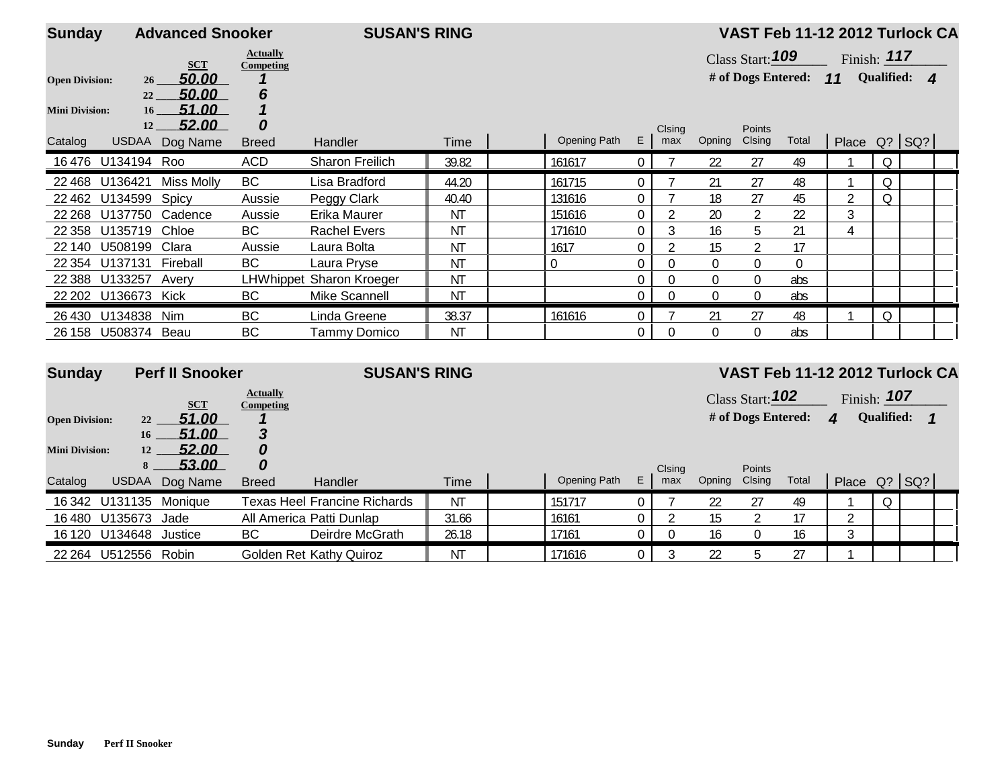| <b>Sunday</b>         |                     | <b>Advanced Snooker</b> |                              | <b>SUSAN'S RING</b>      |           |                |                  |                  |                |                         | VAST Feb 11-12 2012 Turlock CA |                                  |               |             |  |
|-----------------------|---------------------|-------------------------|------------------------------|--------------------------|-----------|----------------|------------------|------------------|----------------|-------------------------|--------------------------------|----------------------------------|---------------|-------------|--|
|                       |                     |                         | <b>Actually</b>              |                          |           |                |                  |                  |                | Class Start: 109        |                                |                                  | Finish: $117$ |             |  |
| <b>Open Division:</b> | 26                  | <b>SCT</b><br>50.00     | Competing                    |                          |           |                |                  |                  |                | # of Dogs Entered: $11$ |                                |                                  | Qualified: 4  |             |  |
|                       | 22                  | 50.00                   | 6                            |                          |           |                |                  |                  |                |                         |                                |                                  |               |             |  |
| <b>Mini Division:</b> | 16 <sup>1</sup>     | 51.00                   |                              |                          |           |                |                  |                  |                |                         |                                |                                  |               |             |  |
|                       | 12                  | 52.00                   | 0                            |                          |           |                |                  | Clsing           |                | Points                  |                                |                                  |               |             |  |
| Catalog               |                     | USDAA Dog Name          | <b>Breed</b>                 | Handler                  | Time      | Opening Path   | E                | max              | Opning         | Clsing                  | Total                          |                                  | Place Q? SQ?  |             |  |
|                       | 16476 U134194 Roo   |                         | <b>ACD</b>                   | Sharon Freilich          | 39.82     | 161617         | 0                |                  | 22             | 27                      | 49                             |                                  | Q             |             |  |
|                       | 22 468 U136421      | Miss Molly              | BC                           | Lisa Bradford            | 44.20     | 161715         | 0                |                  | 21             | 27                      | 48                             |                                  | Q             |             |  |
| 22 4 62               | U134599             | Spicy                   | Aussie                       | Peggy Clark              | 40.40     | 131616         | $\mathbf 0$      |                  | 18             | 27                      | 45                             | 2                                | Q             |             |  |
| 22 2 68               | U137750             | Cadence                 | Aussie                       | Erika Maurer             | ΝT        | 151616         | 0                |                  | 20             | $\overline{2}$          | 22                             | 3                                |               |             |  |
| 22 3 58               | U135719             | Chloe                   | <b>BC</b>                    | <b>Rachel Evers</b>      | ΝT        | 171610         | 0                | 3                | 16             | 5                       | 21                             | 4                                |               |             |  |
| 22 140                | U508199             | Clara                   | Aussie                       | Laura Bolta              | ΝT        | 1617           | 0                |                  | 15             | $\overline{2}$          | 17                             |                                  |               |             |  |
| 22 3 54               | U137131             | Fireball                | <b>BC</b>                    | Laura Pryse              | ΝT        | $\overline{0}$ | $\boldsymbol{0}$ | $\boldsymbol{0}$ | $\Omega$       | $\mathbf 0$             | $\Omega$                       |                                  |               |             |  |
|                       | 22 388 U133257      | Avery                   |                              | LHWhippet Sharon Kroeger | ΝT        |                | 0                | $\boldsymbol{0}$ | $\Omega$       | $\mathbf 0$             | abs                            |                                  |               |             |  |
|                       | 22 202 U136673 Kick |                         | <b>BC</b>                    | Mike Scannell            | ΝT        |                | 0                | $\Omega$         | $\Omega$       | $\mathbf 0$             | abs                            |                                  |               |             |  |
|                       | 26 430 U134838 Nim  |                         | BC                           | Linda Greene             | 38.37     | 161616         | $\overline{0}$   |                  | 21             | 27                      | 48                             |                                  | Q             |             |  |
|                       | 26 158 U508374 Beau |                         | BC                           | <b>Tammy Domico</b>      | <b>NT</b> |                | $\boldsymbol{0}$ | $\Omega$         | $\overline{0}$ | $\overline{0}$          | abs                            |                                  |               |             |  |
|                       |                     |                         |                              |                          |           |                |                  |                  |                |                         |                                |                                  |               |             |  |
| <b>Sunday</b>         |                     | <b>Perf II Snooker</b>  |                              | <b>SUSAN'S RING</b>      |           |                |                  |                  |                |                         |                                | VAST Feb 11-12 2012 Turlock CA   |               |             |  |
|                       |                     | <b>SCT</b>              | <b>Actually</b><br>Competing |                          |           |                |                  |                  |                |                         |                                | Class Start: $102$ Finish: $107$ |               |             |  |
| <b>Open Division:</b> |                     | $22 - 51.00$            |                              |                          |           |                |                  |                  |                |                         |                                | # of Dogs Entered: 4 Qualified:  |               | $\mathbf 1$ |  |

|         |                | <i><b>53.00</b></i> |              |                              |             |              |   | Clsina |        | Points        |        |       |                   |  |
|---------|----------------|---------------------|--------------|------------------------------|-------------|--------------|---|--------|--------|---------------|--------|-------|-------------------|--|
| Catalog | USDAA          | Dog Name            | <b>Breed</b> | Handler                      | <b>Time</b> | Opening Path | Е | max    | Opning | <b>Clsing</b> | Total  | Place | $Q$ ? $ SQ$ ? $ $ |  |
|         | 16342 U131135  | Moniaue             |              | Texas Heel Francine Richards | <b>NT</b>   | 151717       |   |        |        |               | 49     |       |                   |  |
|         | 16480 U135673  | Jade                |              | All America Patti Dunlap     | 31.66       | 16161        |   |        |        |               |        |       |                   |  |
|         | 16 120 U134648 | Justice             | ВC           | Deirdre McGrath              | 26.18       | 17161        |   |        |        |               | 16     |       |                   |  |
| 22 2 64 | U512556        | Robin               |              | Golden Ret Kathy Quiroz      | ΝT          | 171616       |   |        |        |               | $\sim$ |       |                   |  |

**Mini Division:** 12

 $^{16}$   $\frac{51.00}{52.00}$ 

*3 0*